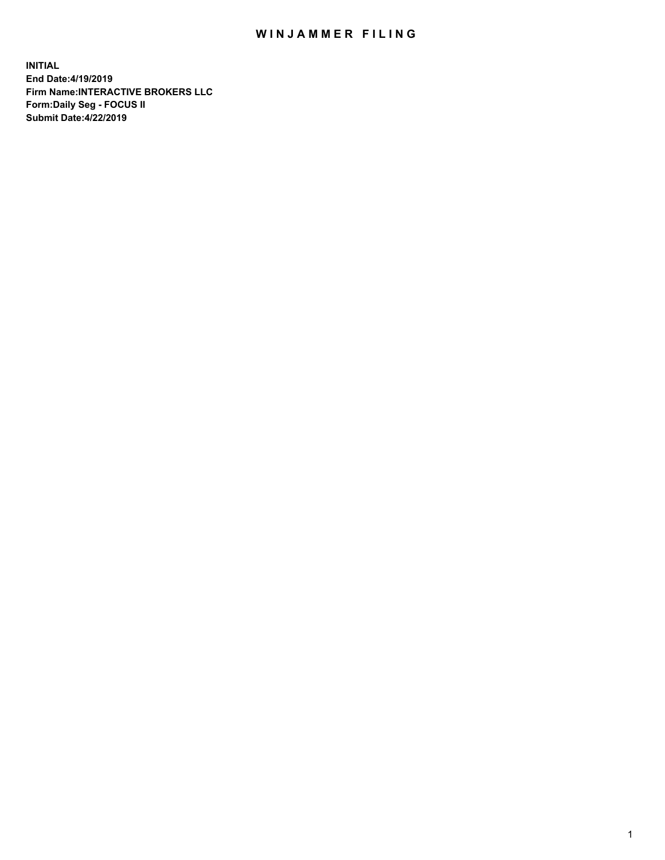## WIN JAMMER FILING

**INITIAL End Date:4/19/2019 Firm Name:INTERACTIVE BROKERS LLC Form:Daily Seg - FOCUS II Submit Date:4/22/2019**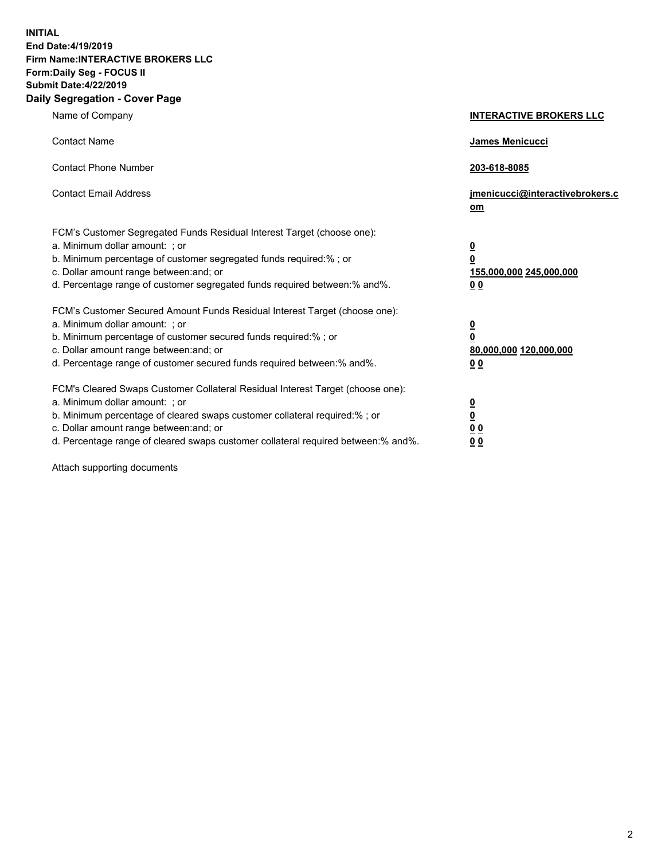**INITIAL End Date:4/19/2019 Firm Name:INTERACTIVE BROKERS LLC Form:Daily Seg - FOCUS II Submit Date:4/22/2019 Daily Segregation - Cover Page**

| Name of Company                                                                                                                                                                                                                                                                                                                | <b>INTERACTIVE BROKERS LLC</b>                                                                  |
|--------------------------------------------------------------------------------------------------------------------------------------------------------------------------------------------------------------------------------------------------------------------------------------------------------------------------------|-------------------------------------------------------------------------------------------------|
| <b>Contact Name</b>                                                                                                                                                                                                                                                                                                            | James Menicucci                                                                                 |
| <b>Contact Phone Number</b>                                                                                                                                                                                                                                                                                                    | 203-618-8085                                                                                    |
| <b>Contact Email Address</b>                                                                                                                                                                                                                                                                                                   | jmenicucci@interactivebrokers.c<br>om                                                           |
| FCM's Customer Segregated Funds Residual Interest Target (choose one):<br>a. Minimum dollar amount: ; or<br>b. Minimum percentage of customer segregated funds required:% ; or<br>c. Dollar amount range between: and; or<br>d. Percentage range of customer segregated funds required between:% and%.                         | $\overline{\mathbf{0}}$<br>$\overline{\mathbf{0}}$<br>155,000,000 245,000,000<br>0 <sub>0</sub> |
| FCM's Customer Secured Amount Funds Residual Interest Target (choose one):<br>a. Minimum dollar amount: ; or<br>b. Minimum percentage of customer secured funds required:% ; or<br>c. Dollar amount range between: and; or<br>d. Percentage range of customer secured funds required between:% and%.                           | $\overline{\mathbf{0}}$<br>0<br>80,000,000 120,000,000<br>0 <sub>0</sub>                        |
| FCM's Cleared Swaps Customer Collateral Residual Interest Target (choose one):<br>a. Minimum dollar amount: ; or<br>b. Minimum percentage of cleared swaps customer collateral required:% ; or<br>c. Dollar amount range between: and; or<br>d. Percentage range of cleared swaps customer collateral required between:% and%. | $\overline{\mathbf{0}}$<br><u>0</u><br>$\underline{0}$ $\underline{0}$<br>00                    |

Attach supporting documents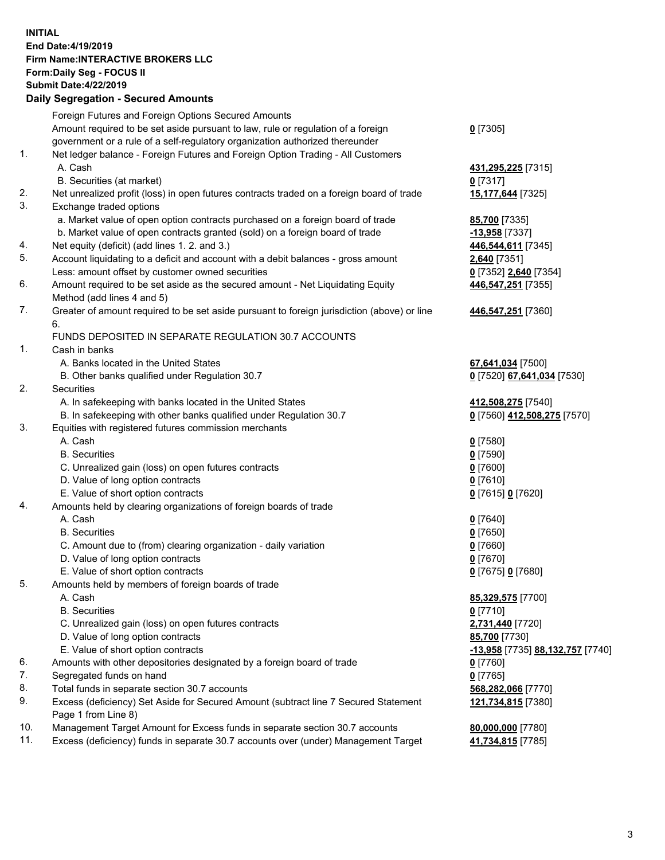## **INITIAL End Date:4/19/2019 Firm Name:INTERACTIVE BROKERS LLC Form:Daily Seg - FOCUS II Submit Date:4/22/2019 Daily Segregation - Secured Amounts**

|     | Daily Segregation - Secured Amounts                                                         |                                  |
|-----|---------------------------------------------------------------------------------------------|----------------------------------|
|     | Foreign Futures and Foreign Options Secured Amounts                                         |                                  |
|     | Amount required to be set aside pursuant to law, rule or regulation of a foreign            | $0$ [7305]                       |
|     | government or a rule of a self-regulatory organization authorized thereunder                |                                  |
| 1.  | Net ledger balance - Foreign Futures and Foreign Option Trading - All Customers             |                                  |
|     | A. Cash                                                                                     | 431,295,225 [7315]               |
|     | B. Securities (at market)                                                                   | $0$ [7317]                       |
| 2.  | Net unrealized profit (loss) in open futures contracts traded on a foreign board of trade   | 15,177,644 [7325]                |
| 3.  | Exchange traded options                                                                     |                                  |
|     | a. Market value of open option contracts purchased on a foreign board of trade              | <b>85,700</b> [7335]             |
|     | b. Market value of open contracts granted (sold) on a foreign board of trade                | $-13,958$ [7337]                 |
| 4.  | Net equity (deficit) (add lines 1. 2. and 3.)                                               | 446,544,611 [7345]               |
| 5.  | Account liquidating to a deficit and account with a debit balances - gross amount           | 2,640 [7351]                     |
|     | Less: amount offset by customer owned securities                                            | 0 [7352] 2,640 [7354]            |
| 6.  | Amount required to be set aside as the secured amount - Net Liquidating Equity              | 446,547,251 [7355]               |
|     | Method (add lines 4 and 5)                                                                  |                                  |
| 7.  | Greater of amount required to be set aside pursuant to foreign jurisdiction (above) or line | 446,547,251 [7360]               |
|     | 6.                                                                                          |                                  |
|     | FUNDS DEPOSITED IN SEPARATE REGULATION 30.7 ACCOUNTS                                        |                                  |
| 1.  | Cash in banks                                                                               |                                  |
|     | A. Banks located in the United States                                                       | 67,641,034 [7500]                |
|     | B. Other banks qualified under Regulation 30.7                                              | 0 [7520] 67,641,034 [7530]       |
| 2.  | Securities                                                                                  |                                  |
|     | A. In safekeeping with banks located in the United States                                   | 412,508,275 [7540]               |
|     | B. In safekeeping with other banks qualified under Regulation 30.7                          | 0 [7560] 412,508,275 [7570]      |
| 3.  | Equities with registered futures commission merchants                                       |                                  |
|     | A. Cash                                                                                     | $0$ [7580]                       |
|     | <b>B.</b> Securities                                                                        | $0$ [7590]                       |
|     | C. Unrealized gain (loss) on open futures contracts                                         | $0$ [7600]                       |
|     | D. Value of long option contracts                                                           | $0$ [7610]                       |
|     | E. Value of short option contracts                                                          | 0 [7615] 0 [7620]                |
| 4.  | Amounts held by clearing organizations of foreign boards of trade                           |                                  |
|     | A. Cash                                                                                     | $0$ [7640]                       |
|     | <b>B.</b> Securities                                                                        | $0$ [7650]                       |
|     | C. Amount due to (from) clearing organization - daily variation                             | $0$ [7660]                       |
|     | D. Value of long option contracts                                                           | $0$ [7670]                       |
|     | E. Value of short option contracts                                                          | 0 [7675] 0 [7680]                |
| 5.  | Amounts held by members of foreign boards of trade                                          |                                  |
|     | A. Cash                                                                                     | 85,329,575 [7700]                |
|     | <b>B.</b> Securities                                                                        | $0$ [7710]                       |
|     | C. Unrealized gain (loss) on open futures contracts                                         | 2,731,440 [7720]                 |
|     | D. Value of long option contracts                                                           | 85,700 [7730]                    |
|     | E. Value of short option contracts                                                          | -13,958 [7735] 88,132,757 [7740] |
| 6.  | Amounts with other depositories designated by a foreign board of trade                      | 0 [7760]                         |
| 7.  | Segregated funds on hand                                                                    | $0$ [7765]                       |
| 8.  | Total funds in separate section 30.7 accounts                                               | 568,282,066 [7770]               |
| 9.  | Excess (deficiency) Set Aside for Secured Amount (subtract line 7 Secured Statement         | 121,734,815 [7380]               |
|     | Page 1 from Line 8)                                                                         |                                  |
| 10. | Management Target Amount for Excess funds in separate section 30.7 accounts                 | 80,000,000 [7780]                |
| 11. | Excess (deficiency) funds in separate 30.7 accounts over (under) Management Target          | 41,734,815 [7785]                |
|     |                                                                                             |                                  |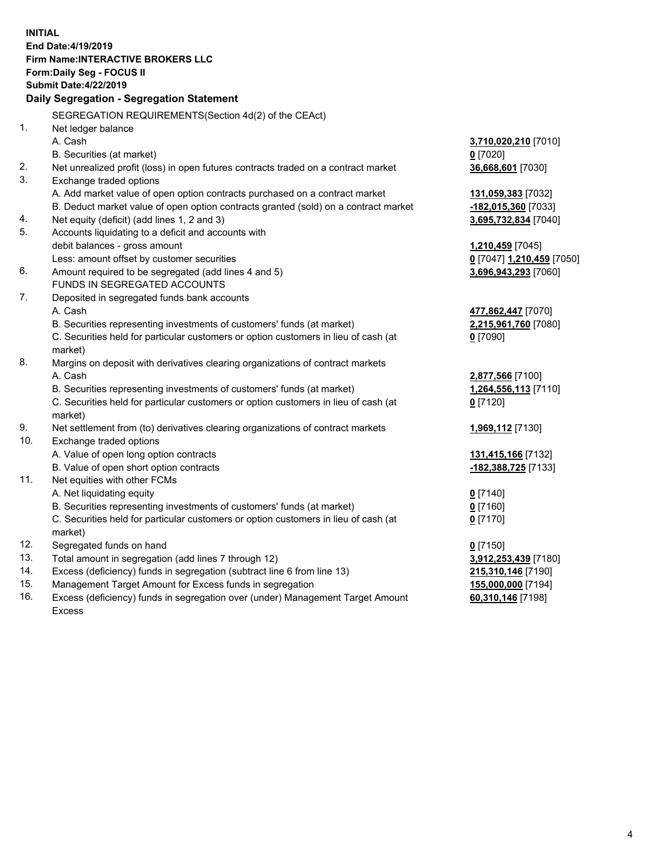**INITIAL End Date:4/19/2019 Firm Name:INTERACTIVE BROKERS LLC Form:Daily Seg - FOCUS II Submit Date:4/22/2019 Daily Segregation - Segregation Statement** SEGREGATION REQUIREMENTS(Section 4d(2) of the CEAct) 1. Net ledger balance A. Cash **3,710,020,210** [7010] B. Securities (at market) **0** [7020] 2. Net unrealized profit (loss) in open futures contracts traded on a contract market **36,668,601** [7030] 3. Exchange traded options A. Add market value of open option contracts purchased on a contract market **131,059,383** [7032] B. Deduct market value of open option contracts granted (sold) on a contract market **-182,015,360** [7033] 4. Net equity (deficit) (add lines 1, 2 and 3) **3,695,732,834** [7040] 5. Accounts liquidating to a deficit and accounts with debit balances - gross amount **1,210,459** [7045] Less: amount offset by customer securities **0** [7047] **1,210,459** [7050] 6. Amount required to be segregated (add lines 4 and 5) **3,696,943,293** [7060] FUNDS IN SEGREGATED ACCOUNTS 7. Deposited in segregated funds bank accounts A. Cash **477,862,447** [7070] B. Securities representing investments of customers' funds (at market) **2,215,961,760** [7080] C. Securities held for particular customers or option customers in lieu of cash (at market) **0** [7090] 8. Margins on deposit with derivatives clearing organizations of contract markets A. Cash **2,877,566** [7100] B. Securities representing investments of customers' funds (at market) **1,264,556,113** [7110] C. Securities held for particular customers or option customers in lieu of cash (at market) **0** [7120] 9. Net settlement from (to) derivatives clearing organizations of contract markets **1,969,112** [7130] 10. Exchange traded options A. Value of open long option contracts **131,415,166** [7132] B. Value of open short option contracts **-182,388,725** [7133] 11. Net equities with other FCMs A. Net liquidating equity **0** [7140] B. Securities representing investments of customers' funds (at market) **0** [7160] C. Securities held for particular customers or option customers in lieu of cash (at market) **0** [7170] 12. Segregated funds on hand **0** [7150] 13. Total amount in segregation (add lines 7 through 12) **3,912,253,439** [7180] 14. Excess (deficiency) funds in segregation (subtract line 6 from line 13) **215,310,146** [7190] 15. Management Target Amount for Excess funds in segregation **155,000,000** [7194] **60,310,146** [7198]

16. Excess (deficiency) funds in segregation over (under) Management Target Amount Excess